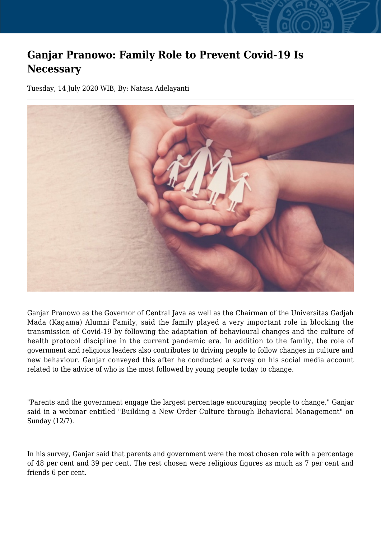## **Ganjar Pranowo: Family Role to Prevent Covid-19 Is Necessary**

Tuesday, 14 July 2020 WIB, By: Natasa Adelayanti



Ganjar Pranowo as the Governor of Central Java as well as the Chairman of the Universitas Gadjah Mada (Kagama) Alumni Family, said the family played a very important role in blocking the transmission of Covid-19 by following the adaptation of behavioural changes and the culture of health protocol discipline in the current pandemic era. In addition to the family, the role of government and religious leaders also contributes to driving people to follow changes in culture and new behaviour. Ganjar conveyed this after he conducted a survey on his social media account related to the advice of who is the most followed by young people today to change.

"Parents and the government engage the largest percentage encouraging people to change," Ganjar said in a webinar entitled "Building a New Order Culture through Behavioral Management" on Sunday (12/7).

In his survey, Ganjar said that parents and government were the most chosen role with a percentage of 48 per cent and 39 per cent. The rest chosen were religious figures as much as 7 per cent and friends 6 per cent.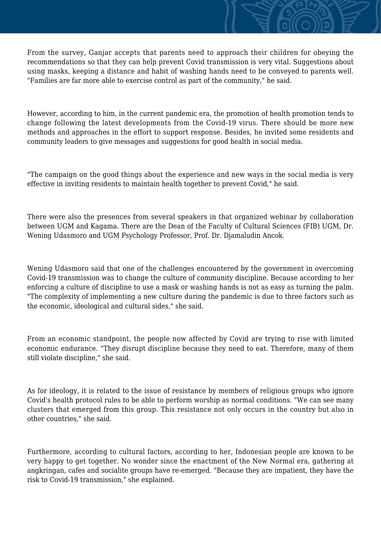From the survey, Ganjar accepts that parents need to approach their children for obeying the recommendations so that they can help prevent Covid transmission is very vital. Suggestions about using masks, keeping a distance and habit of washing hands need to be conveyed to parents well. "Families are far more able to exercise control as part of the community," he said.

However, according to him, in the current pandemic era, the promotion of health promotion tends to change following the latest developments from the Covid-19 virus. There should be more new methods and approaches in the effort to support response. Besides, he invited some residents and community leaders to give messages and suggestions for good health in social media.

"The campaign on the good things about the experience and new ways in the social media is very effective in inviting residents to maintain health together to prevent Covid," he said.

There were also the presences from several speakers in that organized webinar by collaboration between UGM and Kagama. There are the Dean of the Faculty of Cultural Sciences (FIB) UGM, Dr. Wening Udasmoro and UGM Psychology Professor, Prof. Dr. Djamaludin Ancok.

Wening Udasmoro said that one of the challenges encountered by the government in overcoming Covid-19 transmission was to change the culture of community discipline. Because according to her enforcing a culture of discipline to use a mask or washing hands is not as easy as turning the palm. "The complexity of implementing a new culture during the pandemic is due to three factors such as the economic, ideological and cultural sides," she said.

From an economic standpoint, the people now affected by Covid are trying to rise with limited economic endurance. "They disrupt discipline because they need to eat. Therefore, many of them still violate discipline," she said.

As for ideology, it is related to the issue of resistance by members of religious groups who ignore Covid's health protocol rules to be able to perform worship as normal conditions. "We can see many clusters that emerged from this group. This resistance not only occurs in the country but also in other countries," she said.

Furthermore, according to cultural factors, according to her, Indonesian people are known to be very happy to get together. No wonder since the enactment of the New Normal era, gathering at angkringan, cafes and socialite groups have re-emerged. "Because they are impatient, they have the risk to Covid-19 transmission," she explained.